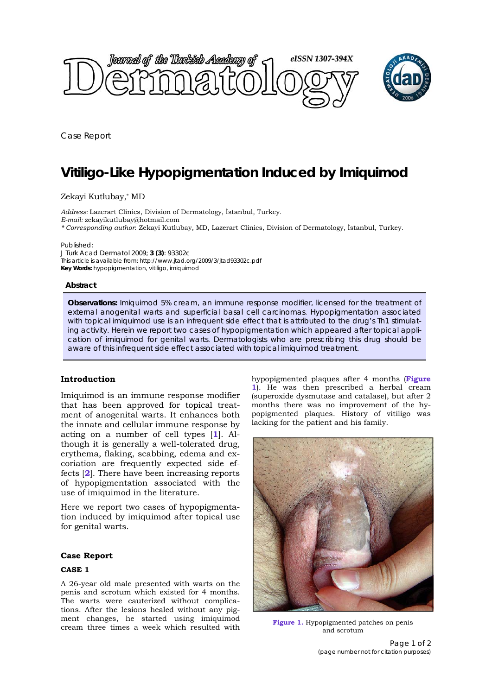

Case Report

# **Vitiligo-Like Hypopigmentation Induced by Imiquimod**

# Zekayi Kutlubay,\* MD

*Address:* Lazerart Clinics, Division of Dermatology, İstanbul, Turkey. *E-mail:* zekayikutlubay@hotmail.com *\* Corresponding author*: Zekayi Kutlubay, MD, Lazerart Clinics, Division of Dermatology, İstanbul, Turkey.

Published:

*J Turk Acad Dermatol* 2009; **3 (3)**: 93302c This article is available from: http://www.jtad.org/2009/3/jtad93302c.pdf **Key Words:** hypopigmentation, vitiligo, imiquimod

#### **Abstract**

**Observations:** Imiquimod 5% cream, an immune response modifier, licensed for the treatment of external anogenital warts and superficial basal cell carcinomas. Hypopigmentation associated with topical imiquimod use is an infrequent side effect that is attributed to the drug's Th1 stimulating activity. Herein we report two cases of hypopigmentation which appeared after topical application of imiquimod for genital warts. Dermatologists who are prescribing this drug should be aware of this infrequent side effect associated with topical imiquimod treatment.

# **Introduction**

Imiquimod is an immune response modifier that has been approved for topical treatment of anogenital warts. It enhances both the innate and cellular immune response by acting on a number of cell types [**1**]. Although it is generally a well-tolerated drug, erythema, flaking, scabbing, edema and excoriation are frequently expected side effects [**2**]. There have been increasing reports of hypopigmentation associated with the use of imiquimod in the literature.

Here we report two cases of hypopigmentation induced by imiquimod after topical use for genital warts.

#### **Case Report**

#### **CASE 1**

A 26-year old male presented with warts on the penis and scrotum which existed for 4 months. The warts were cauterized without complications. After the lesions healed without any pigment changes, he started using imiquimod cream three times a week which resulted with hypopigmented plaques after 4 months (**Figure 1**). He was then prescribed a herbal cream (superoxide dysmutase and catalase), but after 2 months there was no improvement of the hypopigmented plaques. History of vitiligo was lacking for the patient and his family.



**Figure 1.** Hypopigmented patches on penis and scrotum